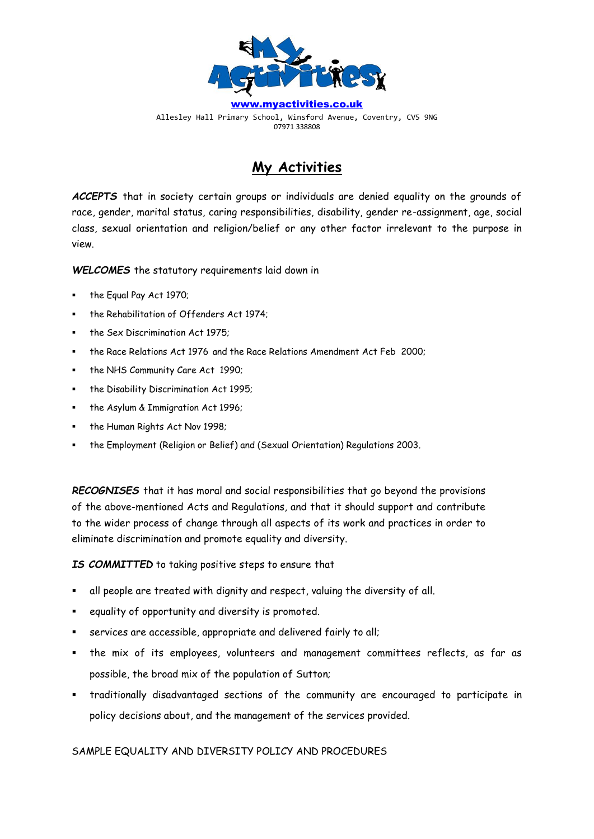

[www.myactivities.co.uk](http://www.myactivities.co.uk/) Allesley Hall Primary School, Winsford Avenue, Coventry, CV5 9NG 07971 338808

# **My Activities**

*ACCEPTS* that in society certain groups or individuals are denied equality on the grounds of race, gender, marital status, caring responsibilities, disability, gender re-assignment, age, social class, sexual orientation and religion/belief or any other factor irrelevant to the purpose in view.

*WELCOMES* the statutory requirements laid down in

- the Equal Pay Act 1970;
- the Rehabilitation of Offenders Act 1974;
- the Sex Discrimination Act 1975:
- the Race Relations Act 1976 and the Race Relations Amendment Act Feb 2000;
- the NHS Community Care Act 1990;
- the Disability Discrimination Act 1995;
- the Asylum & Immigration Act 1996;
- the Human Rights Act Nov 1998;
- the Employment (Religion or Belief) and (Sexual Orientation) Regulations 2003.

*RECOGNISES* that it has moral and social responsibilities that go beyond the provisions of the above-mentioned Acts and Regulations, and that it should support and contribute to the wider process of change through all aspects of its work and practices in order to eliminate discrimination and promote equality and diversity.

*IS COMMITTED* to taking positive steps to ensure that

- all people are treated with dignity and respect, valuing the diversity of all.
- equality of opportunity and diversity is promoted.
- services are accessible, appropriate and delivered fairly to all;
- the mix of its employees, volunteers and management committees reflects, as far as possible, the broad mix of the population of Sutton;
- traditionally disadvantaged sections of the community are encouraged to participate in policy decisions about, and the management of the services provided.

SAMPLE EQUALITY AND DIVERSITY POLICY AND PROCEDURES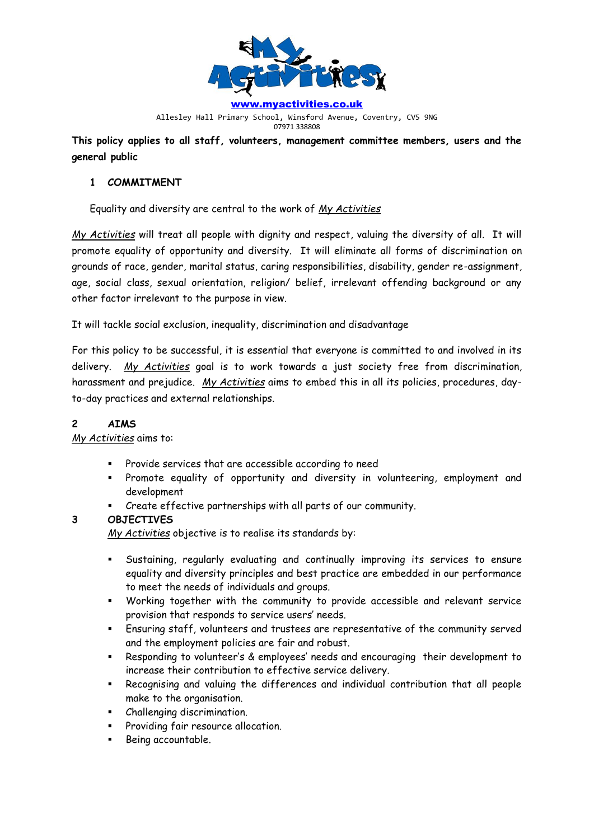

Allesley Hall Primary School, Winsford Avenue, Coventry, CV5 9NG 07971 338808

**This policy applies to all staff, volunteers, management committee members, users and the general public**

## **1 COMMITMENT**

Equality and diversity are central to the work of *My Activities*

*My Activities* will treat all people with dignity and respect, valuing the diversity of all. It will promote equality of opportunity and diversity. It will eliminate all forms of discrimination on grounds of race, gender, marital status, caring responsibilities, disability, gender re-assignment, age, social class, sexual orientation, religion/ belief, irrelevant offending background or any other factor irrelevant to the purpose in view.

It will tackle social exclusion, inequality, discrimination and disadvantage

For this policy to be successful, it is essential that everyone is committed to and involved in its delivery. *My Activities* goal is to work towards a just society free from discrimination, harassment and prejudice. *My Activities* aims to embed this in all its policies, procedures, dayto-day practices and external relationships.

## **2 AIMS**

## *My Activities* aims to:

- Provide services that are accessible according to need
- Promote equality of opportunity and diversity in volunteering, employment and development
	- Create effective partnerships with all parts of our community.

# **3 OBJECTIVES**

*My Activities* objective is to realise its standards by:

- Sustaining, regularly evaluating and continually improving its services to ensure equality and diversity principles and best practice are embedded in our performance to meet the needs of individuals and groups.
- Working together with the community to provide accessible and relevant service provision that responds to service users' needs.
- Ensuring staff, volunteers and trustees are representative of the community served and the employment policies are fair and robust.
- Responding to volunteer's & employees' needs and encouraging their development to increase their contribution to effective service delivery.
- Recognising and valuing the differences and individual contribution that all people make to the organisation.
- Challenging discrimination.
- Providing fair resource allocation.
- Being accountable.